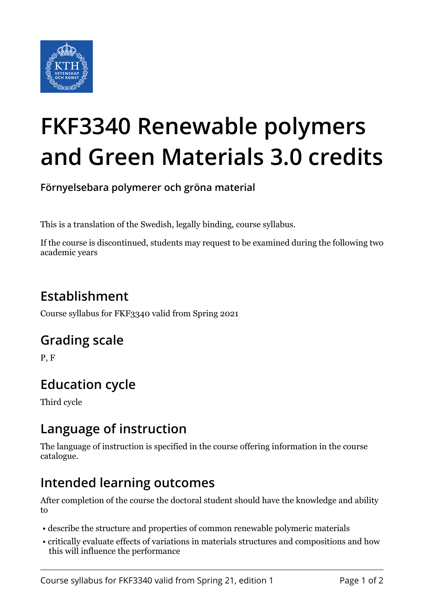

# **FKF3340 Renewable polymers and Green Materials 3.0 credits**

**Förnyelsebara polymerer och gröna material**

This is a translation of the Swedish, legally binding, course syllabus.

If the course is discontinued, students may request to be examined during the following two academic years

# **Establishment**

Course syllabus for FKF3340 valid from Spring 2021

## **Grading scale**

P, F

# **Education cycle**

Third cycle

## **Language of instruction**

The language of instruction is specified in the course offering information in the course catalogue.

## **Intended learning outcomes**

After completion of the course the doctoral student should have the knowledge and ability to

- describe the structure and properties of common renewable polymeric materials
- critically evaluate effects of variations in materials structures and compositions and how this will influence the performance